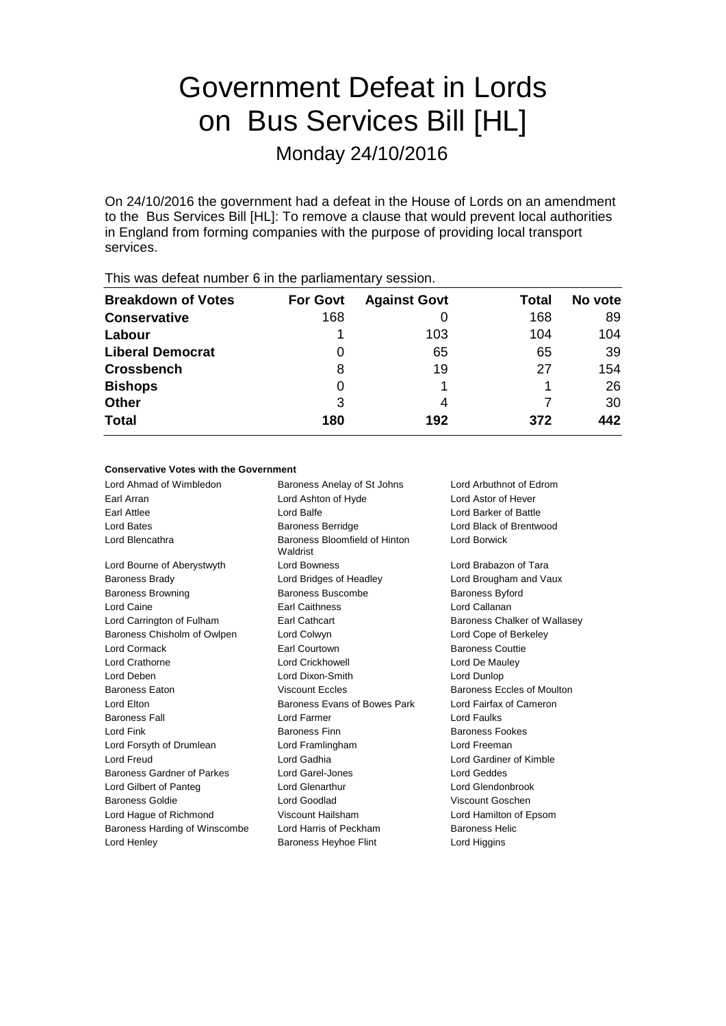# Government Defeat in Lords on Bus Services Bill [HL]

Monday 24/10/2016

On 24/10/2016 the government had a defeat in the House of Lords on an amendment to the Bus Services Bill [HL]: To remove a clause that would prevent local authorities in England from forming companies with the purpose of providing local transport services.

| <b>Breakdown of Votes</b> | <b>For Govt</b> | <b>Against Govt</b> | Total | No vote |
|---------------------------|-----------------|---------------------|-------|---------|
| <b>Conservative</b>       | 168             |                     | 168   | 89      |
| Labour                    |                 | 103                 | 104   | 104     |
| <b>Liberal Democrat</b>   | O               | 65                  | 65    | 39      |
| <b>Crossbench</b>         | 8               | 19                  | 27    | 154     |
| <b>Bishops</b>            | 0               |                     |       | 26      |
| <b>Other</b>              | 3               | 4                   |       | 30      |
| <b>Total</b>              | 180             | 192                 | 372   | 442     |
|                           |                 |                     |       |         |

This was defeat number 6 in the parliamentary session.

#### **Conservative Votes with the Government**

| Baroness Anelay of St Johns               | Lord Arbuthnot of Edrom      |  |
|-------------------------------------------|------------------------------|--|
| Lord Ashton of Hyde                       | Lord Astor of Hever          |  |
| Lord Balfe                                | Lord Barker of Battle        |  |
| <b>Baroness Berridge</b>                  | Lord Black of Brentwood      |  |
| Baroness Bloomfield of Hinton<br>Waldrist | Lord Borwick                 |  |
| <b>Lord Bowness</b>                       | Lord Brabazon of Tara        |  |
| Lord Bridges of Headley                   | Lord Brougham and Vaux       |  |
| Baroness Buscombe                         | <b>Baroness Byford</b>       |  |
| <b>Earl Caithness</b>                     | Lord Callanan                |  |
| Earl Cathcart                             | Baroness Chalker of Wallasey |  |
| Lord Colwyn                               | Lord Cope of Berkeley        |  |
| <b>Earl Courtown</b>                      | <b>Baroness Couttie</b>      |  |
| Lord Crickhowell                          | Lord De Mauley               |  |
| Lord Dixon-Smith                          | Lord Dunlop                  |  |
| <b>Viscount Eccles</b>                    | Baroness Eccles of Moulton   |  |
| Baroness Evans of Bowes Park              | Lord Fairfax of Cameron      |  |
| Lord Farmer                               | Lord Faulks                  |  |
| <b>Baroness Finn</b>                      | <b>Baroness Fookes</b>       |  |
| Lord Framlingham                          | Lord Freeman                 |  |
| Lord Gadhia                               | Lord Gardiner of Kimble      |  |
| Lord Garel-Jones                          | <b>Lord Geddes</b>           |  |
| <b>Lord Glenarthur</b>                    | Lord Glendonbrook            |  |
| Lord Goodlad                              | Viscount Goschen             |  |
| Viscount Hailsham                         | Lord Hamilton of Epsom       |  |
| Lord Harris of Peckham                    | <b>Baroness Helic</b>        |  |
| <b>Baroness Heyhoe Flint</b>              | Lord Higgins                 |  |
|                                           |                              |  |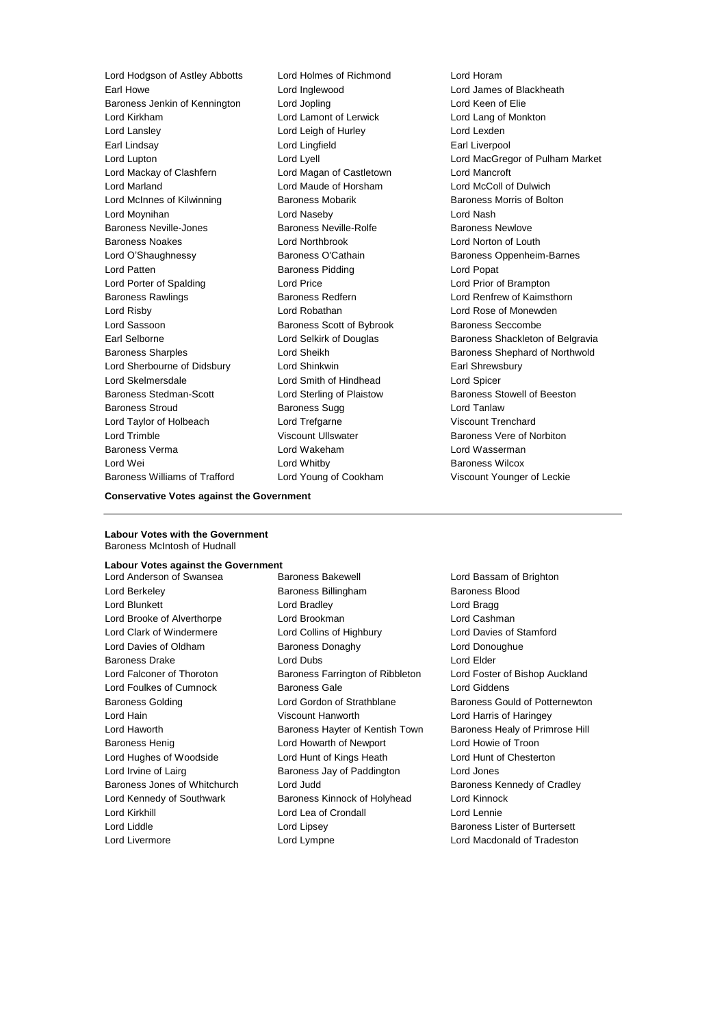Lord Hodgson of Astley Abbotts Lord Holmes of Richmond Lord Horam Earl Howe Lord Inglewood Lord James of Blackheath Baroness Jenkin of Kennington Lord Jopling Lord Keen of Elie Lord Kirkham Lord Lamont of Lerwick Lord Lang of Monkton Lord Lansley Lord Leigh of Hurley Lord Lexden Earl Lindsay Lord Lingfield Earl Liverpool Lord Lupton Lord Lyell Lord MacGregor of Pulham Market Lord Mackay of Clashfern Lord Magan of Castletown Lord Mancroft Lord Marland Lord Maude of Horsham Lord McColl of Dulwich Lord McInnes of Kilwinning **Baroness Mobarik Baroness Morris of Bolton** Lord Moynihan Lord Naseby Lord Nash Baroness Neville-Jones **Baroness Neville-Rolfe** Baroness Newlove Baroness Noakes Lord Northbrook Lord Norton of Louth Lord O'Shaughnessy **Baroness O'Cathain** Baroness Oppenheim-Barnes Lord Patten **Baroness Pidding Lord Popat** Lord Popat Lord Porter of Spalding Lord Price Lord Prior of Brampton Baroness Rawlings **Baroness Redfern Baroness Redfern Lord Renfrew of Kaimsthorn** Lord Risby Lord Robathan Lord Rose of Monewden Lord Sassoon **Baroness Scott of Bybrook** Baroness Seccombe Earl Selborne **Lord Selkirk of Douglas** Baroness Shackleton of Belgravia Baroness Sharples **Baroness Sharples** Lord Sheikh Baroness Shephard of Northwold Lord Sherbourne of Didsbury Lord Shinkwin **Earl Shinkwin** Earl Shrewsbury Lord Skelmersdale Lord Smith of Hindhead Lord Spicer Baroness Stedman-Scott Lord Sterling of Plaistow Baroness Stowell of Beeston Baroness Stroud **Baroness Sugg Community** Baroness Sugg Lord Tanlaw Lord Taylor of Holbeach Lord Trefgarne Viscount Trenchard Lord Trimble **Contains Container Container Viscount Ullswater** Container Baroness Vere of Norbiton Baroness Verma Lord Wakeham Lord Wasserman Lord Wei **Lord Whitby Community** Lord Whitby **Baroness Wilcox** Baroness Williams of Trafford Lord Young of Cookham Viscount Younger of Leckie

#### **Conservative Votes against the Government**

#### **Labour Votes with the Government** Baroness McIntosh of Hudnall

#### **Labour Votes against the Government**

Lord Anderson of Swansea **Baroness Bakewell Lord Bassam of Brighton** Lord Berkeley **Baroness Billingham** Baroness Blood Lord Blunkett Lord Bradley Lord Bragg Lord Brooke of Alverthorpe **Lord Brookman** Lord Cashman Lord Cashman Lord Clark of Windermere Lord Collins of Highbury Lord Davies of Stamford Lord Davies of Oldham Baroness Donaghy Baroness Donaghue Baroness Drake Lord Dubs Lord Elder Lord Falconer of Thoroton Baroness Farrington of Ribbleton Lord Foster of Bishop Auckland Lord Foulkes of Cumnock Baroness Gale Lord Giddens Baroness Golding Lord Gordon of Strathblane Baroness Gould of Potternewton Lord Hain Viscount Hanworth Lord Harris of Haringey Lord Haworth **Baroness Hayter of Kentish Town** Baroness Healy of Primrose Hill Baroness Henig Lord Howarth of Newport Lord Howie of Troon Lord Hughes of Woodside Lord Hunt of Kings Heath Lord Hunt of Chesterton Lord Irvine of Lairg **Baroness Jay of Paddington** Lord Jones Baroness Jones of Whitchurch Lord Judd Baroness Kennedy of Cradley Lord Kennedy of Southwark Baroness Kinnock of Holyhead Lord Kinnock Lord Kirkhill Lord Lea of Crondall Lord Lennie Lord Liddle **Lord Lipsey** Lord Lipsey **Baroness Lister of Burtersett** Lord Livermore Lord Lympne Lord Macdonald of Tradeston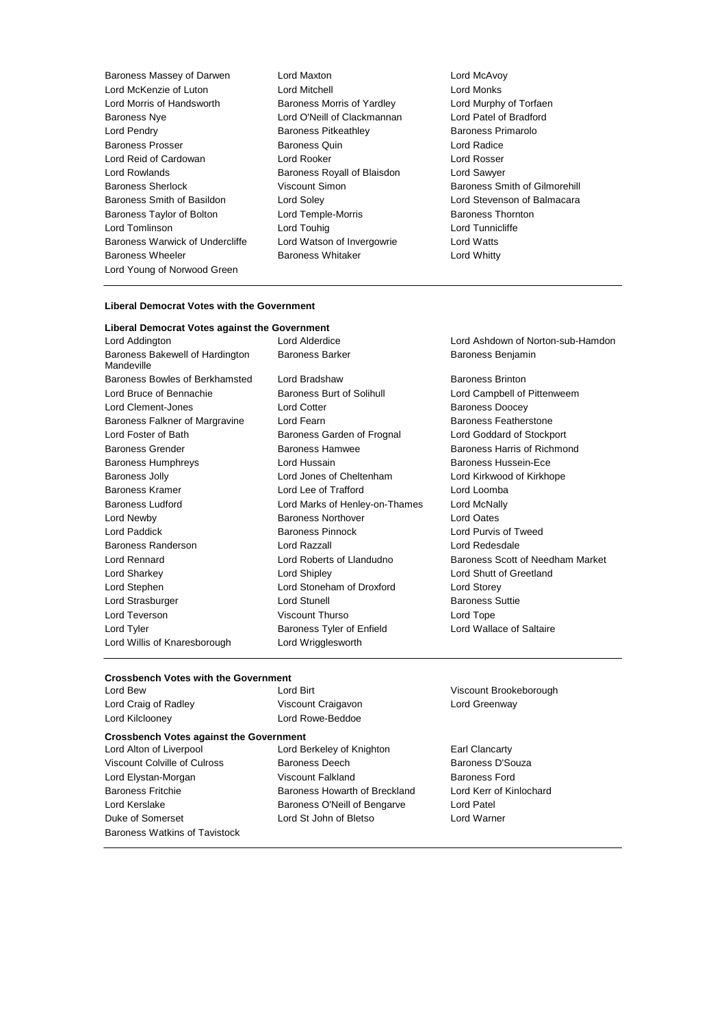Baroness Massey of Darwen Lord Maxton Lord McAvoy Lord McKenzie of Luton **Lord Mitchell** Lord Mexican Lord Monks<br>
Lord Morris of Handsworth **Baroness Morris of Yardley** Lord Murphy of Torfaen Lord Morris of Handsworth Baroness Morris of Yardley Baroness Nye Lord O'Neill of Clackmannan Lord Patel of Bradford Lord Pendry Baroness Pitkeathley Baroness Primarolo Baroness Prosser Baroness Quin Lord Radice Lord Reid of Cardowan Lord Rooker Lord Rosser Lord Rowlands Baroness Royall of Blaisdon Lord Sawyer Baroness Sherlock **Viscount Simon Baroness Smith of Gilmorehill** Baroness Smith of Basildon Lord Soley Lord Stevenson of Balmacara Baroness Taylor of Bolton **Lord Temple-Morris Baroness Thornton** Lord Tomlinson Lord Touhig Lord Tunnicliffe Baroness Warwick of Undercliffe Lord Watson of Invergowrie Lord Watts Baroness Wheeler **Baroness Whitaker** Lord Whitty Lord Young of Norwood Green

#### **Liberal Democrat Votes with the Government**

#### **Liberal Democrat Votes against the Government**

Baroness Bakewell of Hardington Mandeville Baroness Bowles of Berkhamsted Lord Bradshaw Baroness Brinton Lord Bruce of Bennachie **Baroness Burt of Solihull** Lord Campbell of Pittenweem Lord Clement-Jones **Lord Cotter Contemporary Exercise** Baroness Doocey Baroness Falkner of Margravine Lord Fearn **Baroness Featherstone** Baroness Featherstone Lord Foster of Bath Baroness Garden of Frognal Lord Goddard of Stockport Baroness Grender Baroness Hamwee Baroness Harris of Richmond Baroness Humphreys Lord Hussain Baroness Hussein-Ece Baroness Jolly Lord Jones of Cheltenham Lord Kirkwood of Kirkhope Baroness Kramer Lord Lee of Trafford Lord Loomba Baroness Ludford Lord Marks of Henley-on-Thames Lord McNally Lord Newby Baroness Northover Lord Oates Lord Paddick Baroness Pinnock Lord Purvis of Tweed Baroness Randerson Lord Razzall Lord Redesdale Lord Sharkey Lord Shipley Lord Shutt of Greetland Lord Stephen Lord Stoneham of Droxford Lord Storey Lord Strasburger **Lord Stunell** Lord Stunell **Baroness** Suttie Lord Teverson Viscount Thurso Lord Tope Lord Tyler **Baroness Tyler of Enfield** Lord Wallace of Saltaire Lord Willis of Knaresborough Lord Wrigglesworth

Lord Addington Lord Alderdice Lord Ashdown of Norton-sub-Hamdon Baroness Barker Baroness Benjamin

Lord Rennard Lord Roberts of Llandudno Baroness Scott of Needham Market

#### **Crossbench Votes with the Government**

| Lord Bew                                       | Lord Birt                     |  |  |
|------------------------------------------------|-------------------------------|--|--|
| Lord Craig of Radley                           | Viscount Craigavon            |  |  |
| Lord Kilcloonev                                | Lord Rowe-Beddoe              |  |  |
| <b>Crossbench Votes against the Government</b> |                               |  |  |
| Lord Alton of Liverpool                        | Lord Berkeley of Knighton     |  |  |
| Viscount Colville of Culross                   | Baroness Deech                |  |  |
| Lord Elystan-Morgan                            | Viscount Falkland             |  |  |
| <b>Baroness Fritchie</b>                       | Baroness Howarth of Breckland |  |  |
| Lord Kerslake                                  | Baroness O'Neill of Bengarve  |  |  |
| Duke of Somerset                               | Lord St John of Bletso        |  |  |
| Baroness Watkins of Tavistock                  |                               |  |  |
|                                                |                               |  |  |

Viscount Brookeborough Lord Greenway

Earl Clancarty Baroness D'Souza Baroness Ford d **Lord Kerr of Kinlochard** Lord Patel Lord Warner